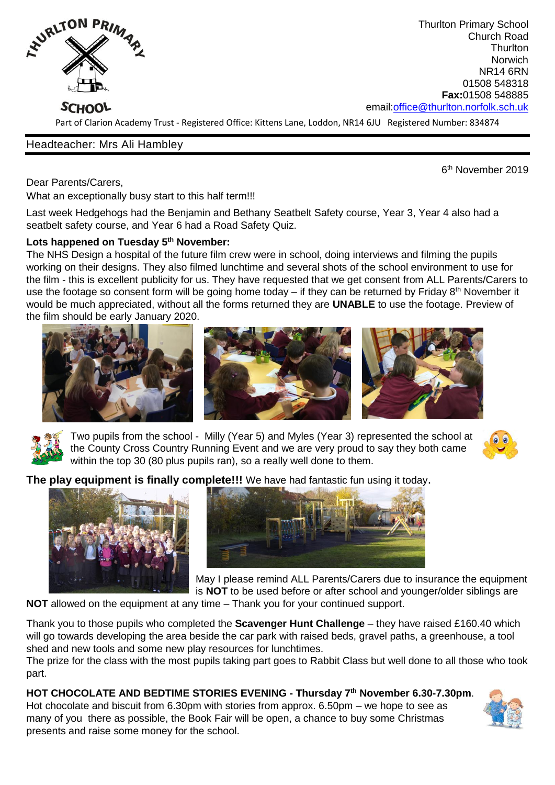

Thurlton Primary School Church Road **Thurlton** Norwich NR14 6RN 01508 548318 **Fax:**01508 548885 email[:office@thurlton.norfolk.sch.uk](mailto:office@thurlton.norfolk.sch.uk)

Part of Clarion Academy Trust - Registered Office: Kittens Lane, Loddon, NR14 6JU Registered Number: 834874

## Headteacher: Mrs Ali Hambley

 $\sim$  600  $\sim$  600  $\sim$  600  $\sim$  600  $\sim$  600  $\sim$  600  $\sim$  600  $\sim$  600  $\sim$  600  $\sim$  600  $\sim$  600  $\sim$  600  $\sim$  600  $\sim$  600  $\sim$  600  $\sim$  600  $\sim$  600  $\sim$  600  $\sim$  600  $\sim$  600  $\sim$  600  $\sim$  600  $\sim$  600  $\sim$  600  $\sim$  6<sup>th</sup> November 2019

Dear Parents/Carers,

What an exceptionally busy start to this half term!!!

Last week Hedgehogs had the Benjamin and Bethany Seatbelt Safety course, Year 3, Year 4 also had a seatbelt safety course, and Year 6 had a Road Safety Quiz.

## **Lots happened on Tuesday 5th November:**

The NHS Design a hospital of the future film crew were in school, doing interviews and filming the pupils working on their designs. They also filmed lunchtime and several shots of the school environment to use for the film - this is excellent publicity for us. They have requested that we get consent from ALL Parents/Carers to use the footage so consent form will be going home today – if they can be returned by Friday  $8<sup>th</sup>$  November it would be much appreciated, without all the forms returned they are **UNABLE** to use the footage. Preview of the film should be early January 2020.





Two pupils from the school - Milly (Year 5) and Myles (Year 3) represented the school at the County Cross Country Running Event and we are very proud to say they both came within the top 30 (80 plus pupils ran), so a really well done to them.



**The play equipment is finally complete!!!** We have had fantastic fun using it today.





May I please remind ALL Parents/Carers due to insurance the equipment is **NOT** to be used before or after school and younger/older siblings are

**NOT** allowed on the equipment at any time – Thank you for your continued support.

Thank you to those pupils who completed the **Scavenger Hunt Challenge** – they have raised £160.40 which will go towards developing the area beside the car park with raised beds, gravel paths, a greenhouse, a tool shed and new tools and some new play resources for lunchtimes.

The prize for the class with the most pupils taking part goes to Rabbit Class but well done to all those who took part.

**HOT CHOCOLATE AND BEDTIME STORIES EVENING - Thursday 7th November 6.30-7.30pm**. Hot chocolate and biscuit from 6.30pm with stories from approx. 6.50pm – we hope to see as many of you there as possible, the Book Fair will be open, a chance to buy some Christmas presents and raise some money for the school.